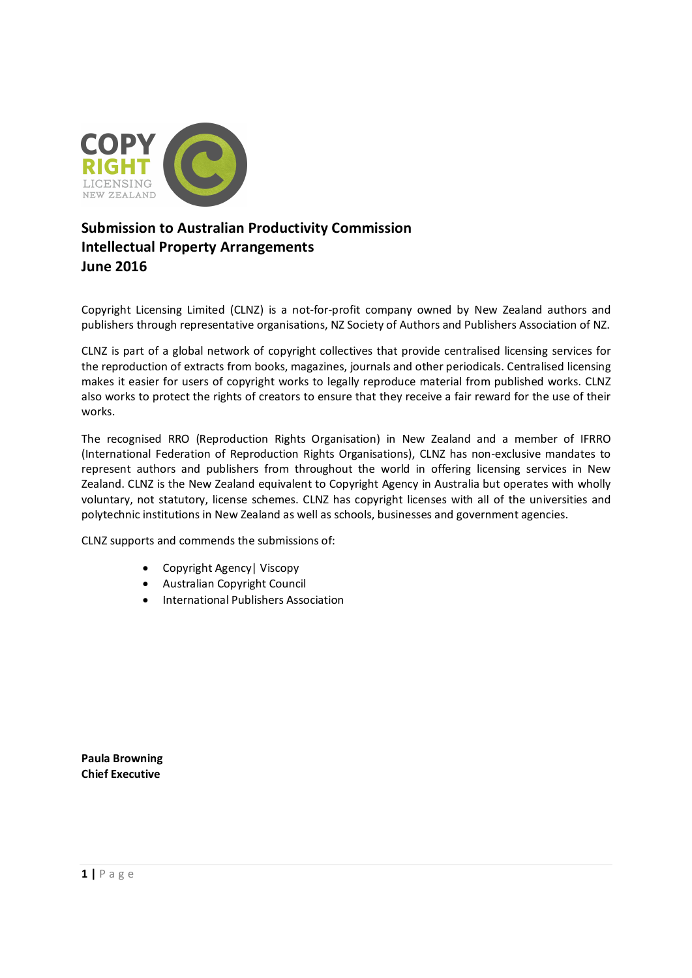

# **Submission to Australian Productivity Commission Intellectual Property Arrangements June 2016**

Copyright Licensing Limited (CLNZ) is a not-for-profit company owned by New Zealand authors and publishers through representative organisations, NZ Society of Authors and Publishers Association of NZ.

CLNZ is part of a global network of copyright collectives that provide centralised licensing services for the reproduction of extracts from books, magazines, journals and other periodicals. Centralised licensing makes it easier for users of copyright works to legally reproduce material from published works. CLNZ also works to protect the rights of creators to ensure that they receive a fair reward for the use of their works.

The recognised RRO (Reproduction Rights Organisation) in New Zealand and a member of IFRRO (International Federation of Reproduction Rights Organisations), CLNZ has non-exclusive mandates to represent authors and publishers from throughout the world in offering licensing services in New Zealand. CLNZ is the New Zealand equivalent to Copyright Agency in Australia but operates with wholly voluntary, not statutory, license schemes. CLNZ has copyright licenses with all of the universities and polytechnic institutions in New Zealand as well as schools, businesses and government agencies.

CLNZ supports and commends the submissions of:

- · Copyright Agency| Viscopy
- · Australian Copyright Council
- · International Publishers Association

**Paula Browning Chief Executive**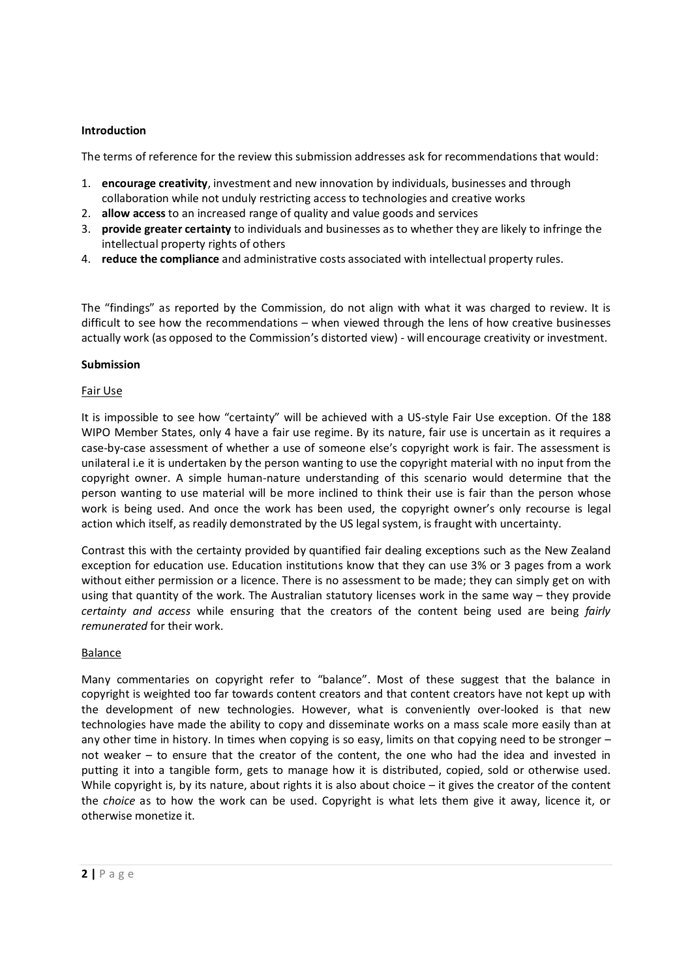#### **Introduction**

The terms of reference for the review this submission addresses ask for recommendations that would:

- 1. **encourage creativity**, investment and new innovation by individuals, businesses and through collaboration while not unduly restricting access to technologies and creative works
- 2. **allow access** to an increased range of quality and value goods and services
- 3. **provide greater certainty** to individuals and businesses as to whether they are likely to infringe the intellectual property rights of others
- 4. **reduce the compliance** and administrative costs associated with intellectual property rules.

The "findings" as reported by the Commission, do not align with what it was charged to review. It is difficult to see how the recommendations – when viewed through the lens of how creative businesses actually work (as opposed to the Commission's distorted view) - will encourage creativity or investment.

#### **Submission**

#### Fair Use

It is impossible to see how "certainty" will be achieved with a US-style Fair Use exception. Of the 188 WIPO Member States, only 4 have a fair use regime. By its nature, fair use is uncertain as it requires a case-by-case assessment of whether a use of someone else's copyright work is fair. The assessment is unilateral i.e it is undertaken by the person wanting to use the copyright material with no input from the copyright owner. A simple human-nature understanding of this scenario would determine that the person wanting to use material will be more inclined to think their use is fair than the person whose work is being used. And once the work has been used, the copyright owner's only recourse is legal action which itself, as readily demonstrated by the US legal system, is fraught with uncertainty.

Contrast this with the certainty provided by quantified fair dealing exceptions such as the New Zealand exception for education use. Education institutions know that they can use 3% or 3 pages from a work without either permission or a licence. There is no assessment to be made; they can simply get on with using that quantity of the work. The Australian statutory licenses work in the same way – they provide *certainty and access* while ensuring that the creators of the content being used are being *fairly remunerated* for their work.

## Balance

Many commentaries on copyright refer to "balance". Most of these suggest that the balance in copyright is weighted too far towards content creators and that content creators have not kept up with the development of new technologies. However, what is conveniently over-looked is that new technologies have made the ability to copy and disseminate works on a mass scale more easily than at any other time in history. In times when copying is so easy, limits on that copying need to be stronger – not weaker – to ensure that the creator of the content, the one who had the idea and invested in putting it into a tangible form, gets to manage how it is distributed, copied, sold or otherwise used. While copyright is, by its nature, about rights it is also about choice – it gives the creator of the content the *choice* as to how the work can be used. Copyright is what lets them give it away, licence it, or otherwise monetize it.